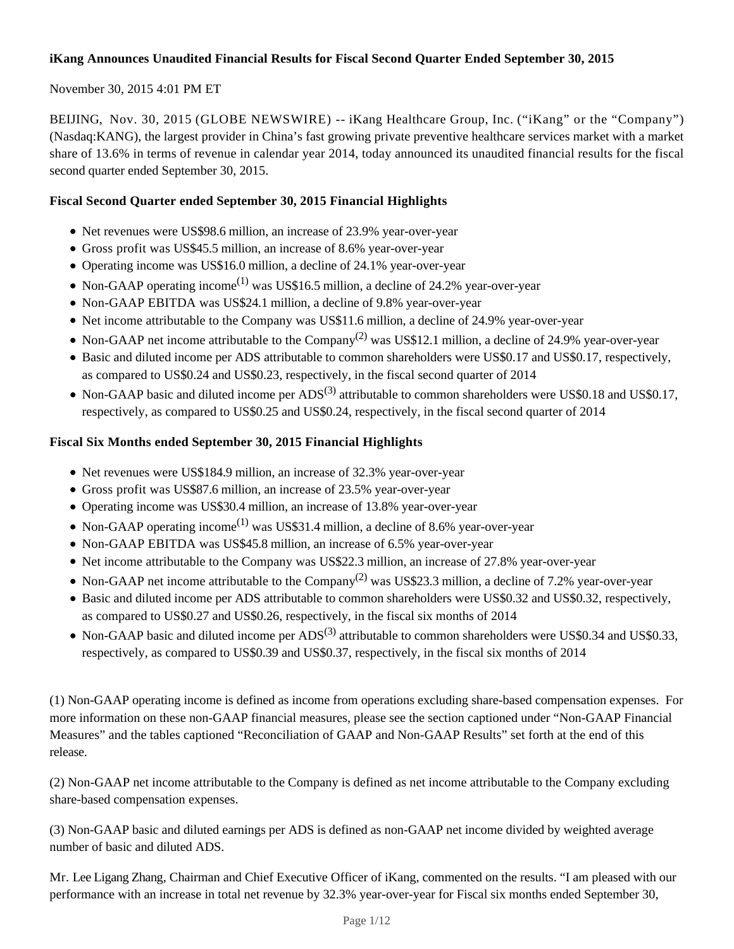# **iKang Announces Unaudited Financial Results for Fiscal Second Quarter Ended September 30, 2015**

# November 30, 2015 4:01 PM ET

BEIJING, Nov. 30, 2015 (GLOBE NEWSWIRE) -- iKang Healthcare Group, Inc. ("iKang" or the "Company") (Nasdaq:KANG), the largest provider in China's fast growing private preventive healthcare services market with a market share of 13.6% in terms of revenue in calendar year 2014, today announced its unaudited financial results for the fiscal second quarter ended September 30, 2015.

# **Fiscal Second Quarter ended September 30, 2015 Financial Highlights**

- Net revenues were US\$98.6 million, an increase of 23.9% year-over-year
- Gross profit was US\$45.5 million, an increase of 8.6% year-over-year
- Operating income was US\$16.0 million, a decline of 24.1% year-over-year
- Non-GAAP operating income<sup>(1)</sup> was US\$16.5 million, a decline of 24.2% year-over-year
- Non-GAAP EBITDA was US\$24.1 million, a decline of 9.8% year-over-year
- Net income attributable to the Company was US\$11.6 million, a decline of 24.9% year-over-year
- Non-GAAP net income attributable to the Company<sup>(2)</sup> was US\$12.1 million, a decline of 24.9% year-over-year
- Basic and diluted income per ADS attributable to common shareholders were US\$0.17 and US\$0.17, respectively, as compared to US\$0.24 and US\$0.23, respectively, in the fiscal second quarter of 2014
- Non-GAAP basic and diluted income per  $ADS^{(3)}$  attributable to common shareholders were US\$0.18 and US\$0.17, respectively, as compared to US\$0.25 and US\$0.24, respectively, in the fiscal second quarter of 2014

# **Fiscal Six Months ended September 30, 2015 Financial Highlights**

- Net revenues were US\$184.9 million, an increase of 32.3% year-over-year
- Gross profit was US\$87.6 million, an increase of 23.5% year-over-year
- Operating income was US\$30.4 million, an increase of 13.8% year-over-year
- Non-GAAP operating income<sup>(1)</sup> was US\$31.4 million, a decline of 8.6% year-over-year
- Non-GAAP EBITDA was US\$45.8 million, an increase of 6.5% year-over-year
- Net income attributable to the Company was US\$22.3 million, an increase of 27.8% year-over-year
- Non-GAAP net income attributable to the Company<sup>(2)</sup> was US\$23.3 million, a decline of 7.2% year-over-year
- Basic and diluted income per ADS attributable to common shareholders were US\$0.32 and US\$0.32, respectively, as compared to US\$0.27 and US\$0.26, respectively, in the fiscal six months of 2014
- Non-GAAP basic and diluted income per  $ADS^{(3)}$  attributable to common shareholders were US\$0.34 and US\$0.33, respectively, as compared to US\$0.39 and US\$0.37, respectively, in the fiscal six months of 2014

(1) Non-GAAP operating income is defined as income from operations excluding share-based compensation expenses. For more information on these non-GAAP financial measures, please see the section captioned under "Non-GAAP Financial Measures" and the tables captioned "Reconciliation of GAAP and Non-GAAP Results" set forth at the end of this release.

(2) Non-GAAP net income attributable to the Company is defined as net income attributable to the Company excluding share-based compensation expenses.

(3) Non-GAAP basic and diluted earnings per ADS is defined as non-GAAP net income divided by weighted average number of basic and diluted ADS.

Mr. Lee Ligang Zhang, Chairman and Chief Executive Officer of iKang, commented on the results. "I am pleased with our performance with an increase in total net revenue by 32.3% year-over-year for Fiscal six months ended September 30,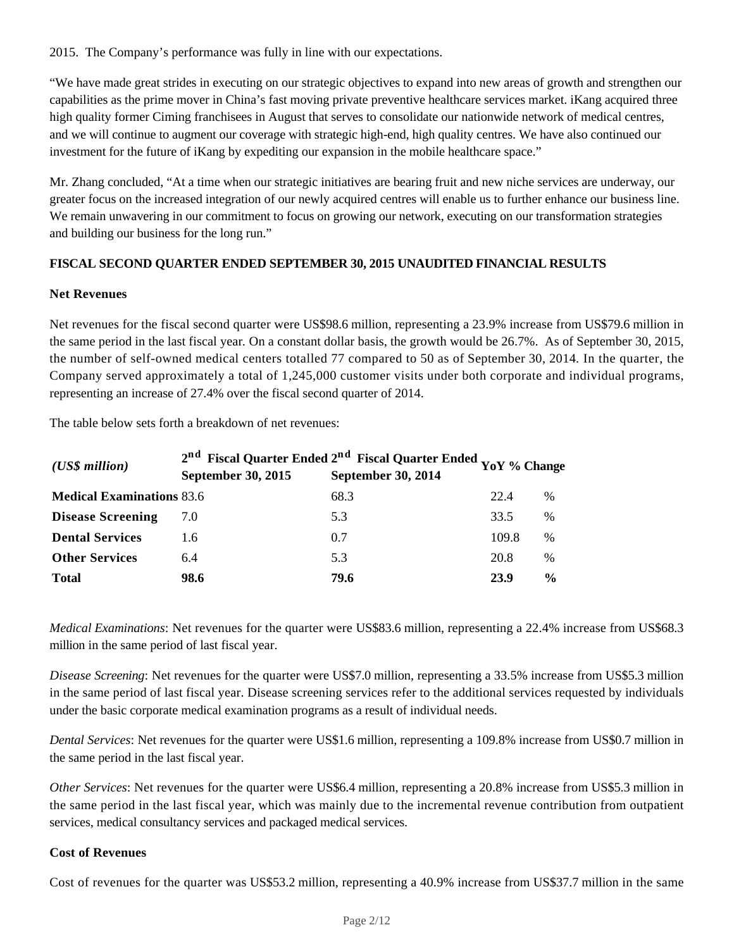2015. The Company's performance was fully in line with our expectations.

"We have made great strides in executing on our strategic objectives to expand into new areas of growth and strengthen our capabilities as the prime mover in China's fast moving private preventive healthcare services market. iKang acquired three high quality former Ciming franchisees in August that serves to consolidate our nationwide network of medical centres, and we will continue to augment our coverage with strategic high-end, high quality centres. We have also continued our investment for the future of iKang by expediting our expansion in the mobile healthcare space."

Mr. Zhang concluded, "At a time when our strategic initiatives are bearing fruit and new niche services are underway, our greater focus on the increased integration of our newly acquired centres will enable us to further enhance our business line. We remain unwavering in our commitment to focus on growing our network, executing on our transformation strategies and building our business for the long run."

# **FISCAL SECOND QUARTER ENDED SEPTEMBER 30, 2015 UNAUDITED FINANCIAL RESULTS**

#### **Net Revenues**

Net revenues for the fiscal second quarter were US\$98.6 million, representing a 23.9% increase from US\$79.6 million in the same period in the last fiscal year*.* On a constant dollar basis, the growth would be 26.7%. As of September 30, 2015, the number of self-owned medical centers totalled 77 compared to 50 as of September 30, 2014. In the quarter, the Company served approximately a total of 1,245,000 customer visits under both corporate and individual programs, representing an increase of 27.4% over the fiscal second quarter of 2014.

The table below sets forth a breakdown of net revenues:

| $(US\$ s million                 | $2nd$ Fiscal Quarter Ended $2nd$ Fiscal Quarter Ended $_{\mathrm{YoY}}$ % Change |      |       |               |  |  |
|----------------------------------|----------------------------------------------------------------------------------|------|-------|---------------|--|--|
|                                  | September 30, 2015                                                               |      |       |               |  |  |
| <b>Medical Examinations 83.6</b> |                                                                                  | 68.3 | 22.4  | $\%$          |  |  |
| <b>Disease Screening</b>         | 7.0                                                                              | 5.3  | 33.5  | %             |  |  |
| <b>Dental Services</b>           | 1.6                                                                              | 0.7  | 109.8 | %             |  |  |
| <b>Other Services</b>            | 6.4                                                                              | 5.3  | 20.8  | %             |  |  |
| <b>Total</b>                     | 98.6                                                                             | 79.6 | 23.9  | $\frac{0}{0}$ |  |  |

*Medical Examinations*: Net revenues for the quarter were US\$83.6 million, representing a 22.4% increase from US\$68.3 million in the same period of last fiscal year.

*Disease Screening*: Net revenues for the quarter were US\$7.0 million, representing a 33.5% increase from US\$5.3 million in the same period of last fiscal year. Disease screening services refer to the additional services requested by individuals under the basic corporate medical examination programs as a result of individual needs.

*Dental Services*: Net revenues for the quarter were US\$1.6 million, representing a 109.8% increase from US\$0.7 million in the same period in the last fiscal year.

*Other Services*: Net revenues for the quarter were US\$6.4 million, representing a 20.8% increase from US\$5.3 million in the same period in the last fiscal year, which was mainly due to the incremental revenue contribution from outpatient services, medical consultancy services and packaged medical services.

# **Cost of Revenues**

Cost of revenues for the quarter was US\$53.2 million, representing a 40.9% increase from US\$37.7 million in the same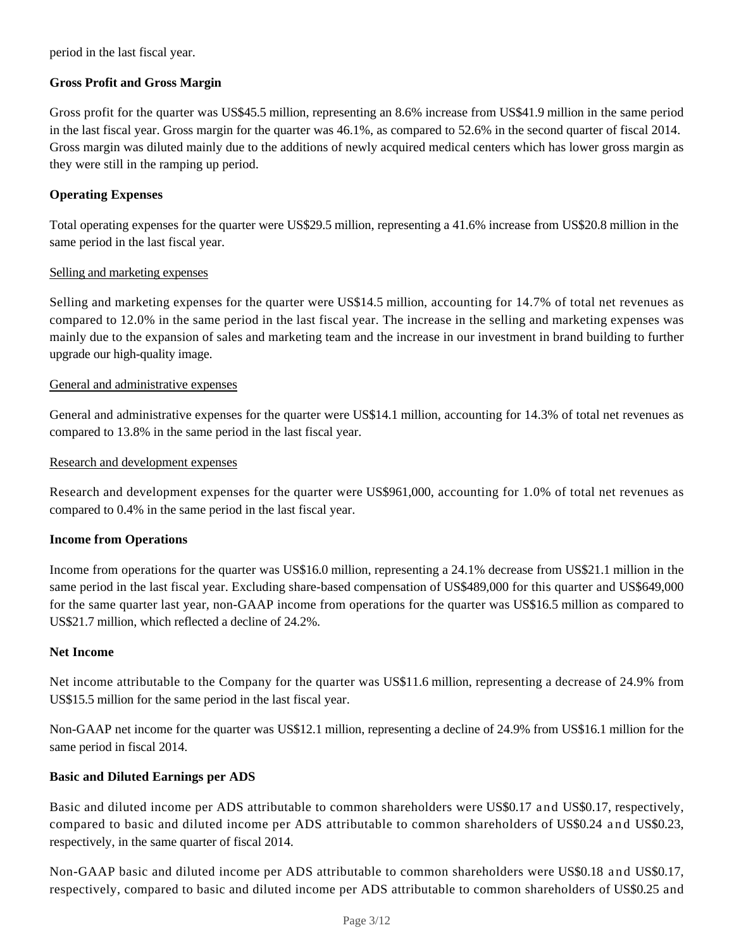period in the last fiscal year.

# **Gross Profit and Gross Margin**

Gross profit for the quarter was US\$45.5 million, representing an 8.6% increase from US\$41.9 million in the same period in the last fiscal year. Gross margin for the quarter was 46.1%, as compared to 52.6% in the second quarter of fiscal 2014. Gross margin was diluted mainly due to the additions of newly acquired medical centers which has lower gross margin as they were still in the ramping up period.

# **Operating Expenses**

Total operating expenses for the quarter were US\$29.5 million, representing a 41.6% increase from US\$20.8 million in the same period in the last fiscal year.

#### Selling and marketing expenses

Selling and marketing expenses for the quarter were US\$14.5 million, accounting for 14.7% of total net revenues as compared to 12.0% in the same period in the last fiscal year. The increase in the selling and marketing expenses was mainly due to the expansion of sales and marketing team and the increase in our investment in brand building to further upgrade our high-quality image.

#### General and administrative expenses

General and administrative expenses for the quarter were US\$14.1 million, accounting for 14.3% of total net revenues as compared to 13.8% in the same period in the last fiscal year.

#### Research and development expenses

Research and development expenses for the quarter were US\$961,000, accounting for 1.0% of total net revenues as compared to 0.4% in the same period in the last fiscal year.

#### **Income from Operations**

Income from operations for the quarter was US\$16.0 million, representing a 24.1% decrease from US\$21.1 million in the same period in the last fiscal year. Excluding share-based compensation of US\$489,000 for this quarter and US\$649,000 for the same quarter last year, non-GAAP income from operations for the quarter was US\$16.5 million as compared to US\$21.7 million, which reflected a decline of 24.2%.

#### **Net Income**

Net income attributable to the Company for the quarter was US\$11.6 million, representing a decrease of 24.9% from US\$15.5 million for the same period in the last fiscal year.

Non-GAAP net income for the quarter was US\$12.1 million, representing a decline of 24.9% from US\$16.1 million for the same period in fiscal 2014.

#### **Basic and Diluted Earnings per ADS**

Basic and diluted income per ADS attributable to common shareholders were US\$0.17 and US\$0.17, respectively, compared to basic and diluted income per ADS attributable to common shareholders of US\$0.24 and US\$0.23, respectively, in the same quarter of fiscal 2014.

Non-GAAP basic and diluted income per ADS attributable to common shareholders were US\$0.18 and US\$0.17, respectively, compared to basic and diluted income per ADS attributable to common shareholders of US\$0.25 and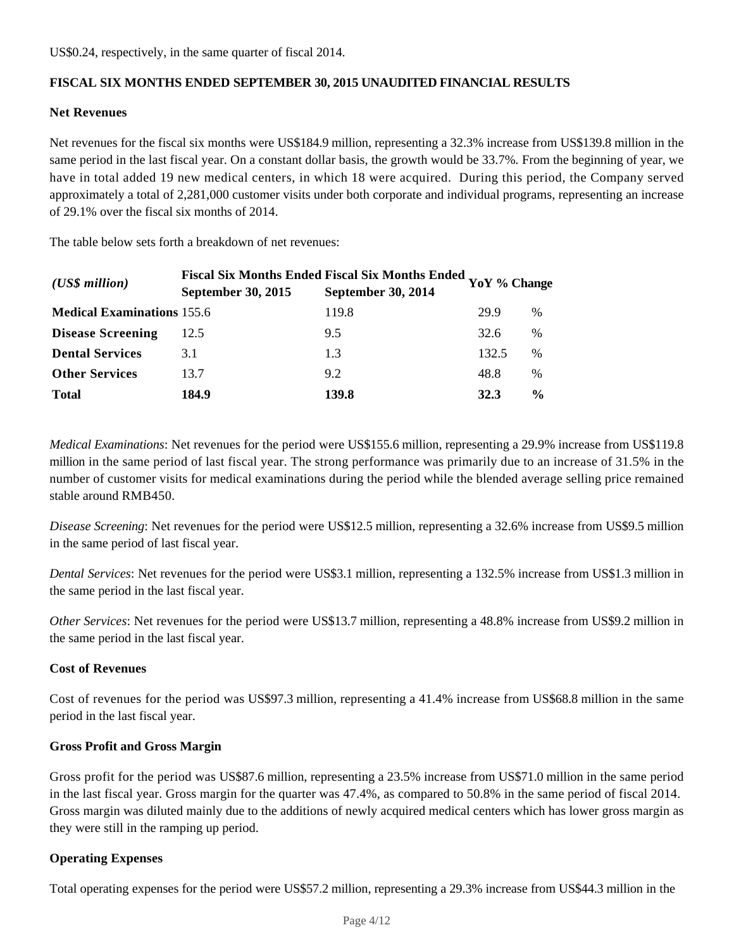US\$0.24, respectively, in the same quarter of fiscal 2014.

# **FISCAL SIX MONTHS ENDED SEPTEMBER 30, 2015 UNAUDITED FINANCIAL RESULTS**

#### **Net Revenues**

Net revenues for the fiscal six months were US\$184.9 million, representing a 32.3% increase from US\$139.8 million in the same period in the last fiscal year. On a constant dollar basis, the growth would be 33.7%*.* From the beginning of year, we have in total added 19 new medical centers, in which 18 were acquired. During this period, the Company served approximately a total of 2,281,000 customer visits under both corporate and individual programs, representing an increase of 29.1% over the fiscal six months of 2014.

The table below sets forth a breakdown of net revenues:

| $(US\$ s million                  | September 30, 2015 | <b>Fiscal Six Months Ended Fiscal Six Months Ended</b><br><b>September 30, 2014</b> | YoY % Change |               |
|-----------------------------------|--------------------|-------------------------------------------------------------------------------------|--------------|---------------|
| <b>Medical Examinations 155.6</b> |                    | 119.8                                                                               | 29.9         | $\%$          |
| <b>Disease Screening</b>          | 12.5               | 9.5                                                                                 | 32.6         | %             |
| <b>Dental Services</b>            | 3.1                | 1.3                                                                                 | 132.5        | %             |
| <b>Other Services</b>             | 13.7               | 9.2                                                                                 | 48.8         | $\%$          |
| <b>Total</b>                      | 184.9              | 139.8                                                                               | 32.3         | $\frac{6}{9}$ |

*Medical Examinations*: Net revenues for the period were US\$155.6 million, representing a 29.9% increase from US\$119.8 million in the same period of last fiscal year. The strong performance was primarily due to an increase of 31.5% in the number of customer visits for medical examinations during the period while the blended average selling price remained stable around RMB450.

*Disease Screening*: Net revenues for the period were US\$12.5 million, representing a 32.6% increase from US\$9.5 million in the same period of last fiscal year.

*Dental Services*: Net revenues for the period were US\$3.1 million, representing a 132.5% increase from US\$1.3 million in the same period in the last fiscal year.

*Other Services*: Net revenues for the period were US\$13.7 million, representing a 48.8% increase from US\$9.2 million in the same period in the last fiscal year.

#### **Cost of Revenues**

Cost of revenues for the period was US\$97.3 million, representing a 41.4% increase from US\$68.8 million in the same period in the last fiscal year.

#### **Gross Profit and Gross Margin**

Gross profit for the period was US\$87.6 million, representing a 23.5% increase from US\$71.0 million in the same period in the last fiscal year. Gross margin for the quarter was 47.4%, as compared to 50.8% in the same period of fiscal 2014. Gross margin was diluted mainly due to the additions of newly acquired medical centers which has lower gross margin as they were still in the ramping up period.

### **Operating Expenses**

Total operating expenses for the period were US\$57.2 million, representing a 29.3% increase from US\$44.3 million in the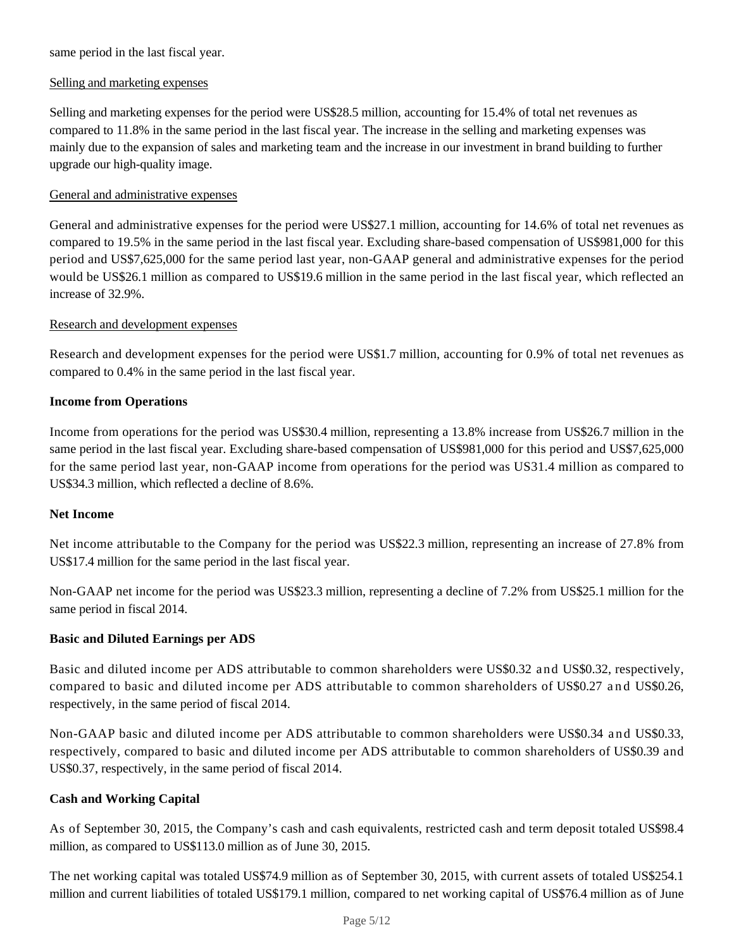same period in the last fiscal year.

# Selling and marketing expenses

Selling and marketing expenses for the period were US\$28.5 million, accounting for 15.4% of total net revenues as compared to 11.8% in the same period in the last fiscal year. The increase in the selling and marketing expenses was mainly due to the expansion of sales and marketing team and the increase in our investment in brand building to further upgrade our high-quality image.

# General and administrative expenses

General and administrative expenses for the period were US\$27.1 million, accounting for 14.6% of total net revenues as compared to 19.5% in the same period in the last fiscal year. Excluding share-based compensation of US\$981,000 for this period and US\$7,625,000 for the same period last year, non-GAAP general and administrative expenses for the period would be US\$26.1 million as compared to US\$19.6 million in the same period in the last fiscal year, which reflected an increase of 32.9%.

#### Research and development expenses

Research and development expenses for the period were US\$1.7 million, accounting for 0.9% of total net revenues as compared to 0.4% in the same period in the last fiscal year.

# **Income from Operations**

Income from operations for the period was US\$30.4 million, representing a 13.8% increase from US\$26.7 million in the same period in the last fiscal year. Excluding share-based compensation of US\$981,000 for this period and US\$7,625,000 for the same period last year, non-GAAP income from operations for the period was US31.4 million as compared to US\$34.3 million, which reflected a decline of 8.6%.

#### **Net Income**

Net income attributable to the Company for the period was US\$22.3 million, representing an increase of 27.8% from US\$17.4 million for the same period in the last fiscal year.

Non-GAAP net income for the period was US\$23.3 million, representing a decline of 7.2% from US\$25.1 million for the same period in fiscal 2014.

#### **Basic and Diluted Earnings per ADS**

Basic and diluted income per ADS attributable to common shareholders were US\$0.32 and US\$0.32, respectively, compared to basic and diluted income per ADS attributable to common shareholders of US\$0.27 and US\$0.26, respectively, in the same period of fiscal 2014.

Non-GAAP basic and diluted income per ADS attributable to common shareholders were US\$0.34 and US\$0.33, respectively, compared to basic and diluted income per ADS attributable to common shareholders of US\$0.39 and US\$0.37, respectively, in the same period of fiscal 2014.

#### **Cash and Working Capital**

As of September 30, 2015, the Company's cash and cash equivalents, restricted cash and term deposit totaled US\$98.4 million, as compared to US\$113.0 million as of June 30, 2015.

The net working capital was totaled US\$74.9 million as of September 30, 2015, with current assets of totaled US\$254.1 million and current liabilities of totaled US\$179.1 million, compared to net working capital of US\$76.4 million as of June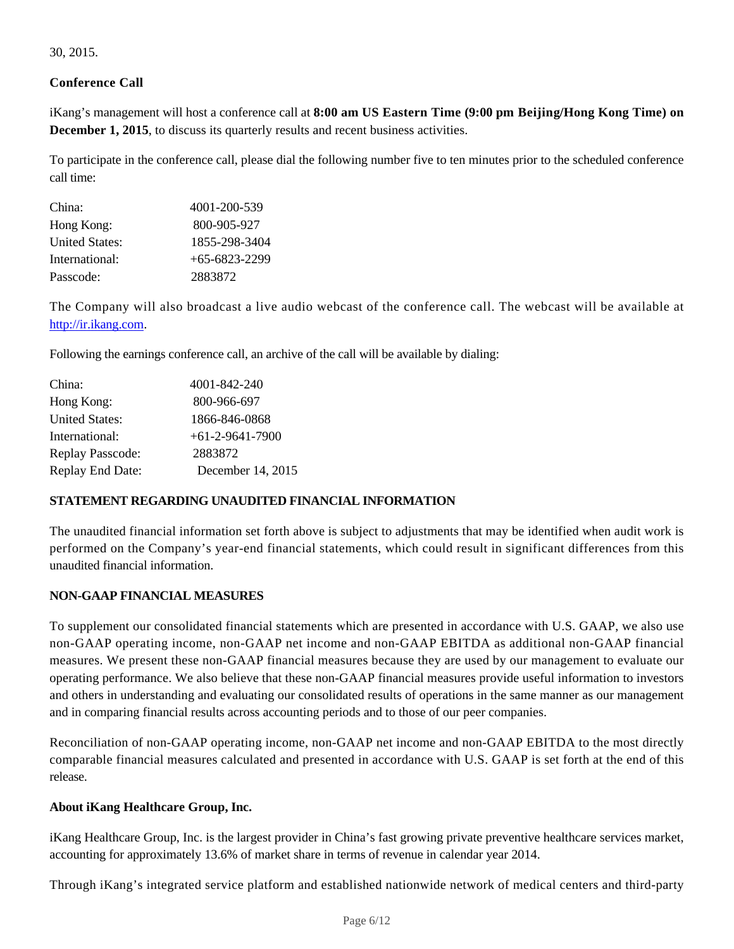30, 2015.

# **Conference Call**

iKang's management will host a conference call at **8:00 am US Eastern Time (9:00 pm Beijing/Hong Kong Time) on December 1, 2015**, to discuss its quarterly results and recent business activities.

To participate in the conference call, please dial the following number five to ten minutes prior to the scheduled conference call time:

| 4001-200-539    |
|-----------------|
| 800-905-927     |
| 1855-298-3404   |
| $+65-6823-2299$ |
| 2883872         |
|                 |

The Company will also broadcast a live audio webcast of the conference call. The webcast will be available at http://ir.ikang.com.

Following the earnings conference call, an archive of the call will be available by dialing:

| China:                  | 4001-842-240      |
|-------------------------|-------------------|
| Hong Kong:              | 800-966-697       |
| <b>United States:</b>   | 1866-846-0868     |
| International:          | $+61-2-9641-7900$ |
| <b>Replay Passcode:</b> | 2883872           |
| <b>Replay End Date:</b> | December 14, 2015 |

# **STATEMENT REGARDING UNAUDITED FINANCIAL INFORMATION**

The unaudited financial information set forth above is subject to adjustments that may be identified when audit work is performed on the Company's year-end financial statements, which could result in significant differences from this unaudited financial information.

# **NON-GAAP FINANCIAL MEASURES**

To supplement our consolidated financial statements which are presented in accordance with U.S. GAAP, we also use non-GAAP operating income, non-GAAP net income and non-GAAP EBITDA as additional non-GAAP financial measures. We present these non-GAAP financial measures because they are used by our management to evaluate our operating performance. We also believe that these non-GAAP financial measures provide useful information to investors and others in understanding and evaluating our consolidated results of operations in the same manner as our management and in comparing financial results across accounting periods and to those of our peer companies.

Reconciliation of non-GAAP operating income, non-GAAP net income and non-GAAP EBITDA to the most directly comparable financial measures calculated and presented in accordance with U.S. GAAP is set forth at the end of this release.

#### **About iKang Healthcare Group, Inc.**

iKang Healthcare Group, Inc. is the largest provider in China's fast growing private preventive healthcare services market, accounting for approximately 13.6% of market share in terms of revenue in calendar year 2014.

Through iKang's integrated service platform and established nationwide network of medical centers and third-party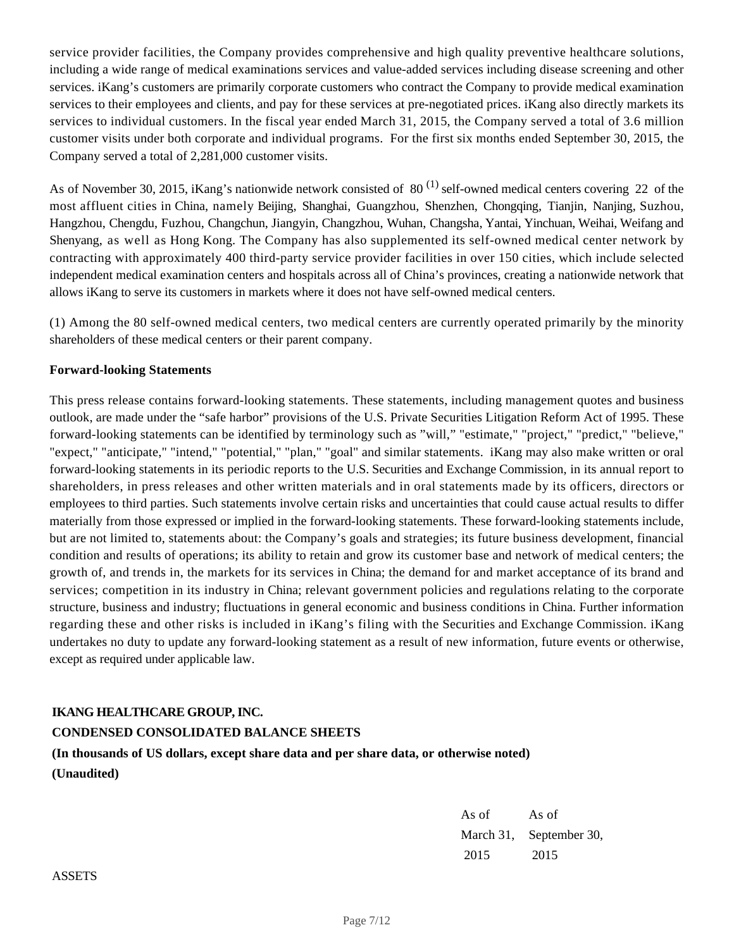service provider facilities, the Company provides comprehensive and high quality preventive healthcare solutions, including a wide range of medical examinations services and value-added services including disease screening and other services. iKang's customers are primarily corporate customers who contract the Company to provide medical examination services to their employees and clients, and pay for these services at pre-negotiated prices. iKang also directly markets its services to individual customers. In the fiscal year ended March 31, 2015, the Company served a total of 3.6 million customer visits under both corporate and individual programs. For the first six months ended September 30, 2015, the Company served a total of 2,281,000 customer visits.

As of November 30, 2015, iKang's nationwide network consisted of  $80^{(1)}$  self-owned medical centers covering 22 of the most affluent cities in China, namely Beijing, Shanghai, Guangzhou, Shenzhen, Chongqing, Tianjin, Nanjing, Suzhou, Hangzhou, Chengdu, Fuzhou, Changchun, Jiangyin, Changzhou, Wuhan, Changsha, Yantai, Yinchuan, Weihai, Weifang and Shenyang, as well as Hong Kong. The Company has also supplemented its self-owned medical center network by contracting with approximately 400 third-party service provider facilities in over 150 cities, which include selected independent medical examination centers and hospitals across all of China's provinces, creating a nationwide network that allows iKang to serve its customers in markets where it does not have self-owned medical centers.

(1) Among the 80 self-owned medical centers, two medical centers are currently operated primarily by the minority shareholders of these medical centers or their parent company.

# **Forward-looking Statements**

This press release contains forward-looking statements. These statements, including management quotes and business outlook, are made under the "safe harbor" provisions of the U.S. Private Securities Litigation Reform Act of 1995. These forward-looking statements can be identified by terminology such as "will," "estimate," "project," "predict," "believe," "expect," "anticipate," "intend," "potential," "plan," "goal" and similar statements. iKang may also make written or oral forward-looking statements in its periodic reports to the U.S. Securities and Exchange Commission, in its annual report to shareholders, in press releases and other written materials and in oral statements made by its officers, directors or employees to third parties. Such statements involve certain risks and uncertainties that could cause actual results to differ materially from those expressed or implied in the forward-looking statements. These forward-looking statements include, but are not limited to, statements about: the Company's goals and strategies; its future business development, financial condition and results of operations; its ability to retain and grow its customer base and network of medical centers; the growth of, and trends in, the markets for its services in China; the demand for and market acceptance of its brand and services; competition in its industry in China; relevant government policies and regulations relating to the corporate structure, business and industry; fluctuations in general economic and business conditions in China. Further information regarding these and other risks is included in iKang's filing with the Securities and Exchange Commission. iKang undertakes no duty to update any forward-looking statement as a result of new information, future events or otherwise, except as required under applicable law.

# **IKANG HEALTHCARE GROUP, INC.**

# **CONDENSED CONSOLIDATED BALANCE SHEETS**

**(In thousands of US dollars, except share data and per share data, or otherwise noted) (Unaudited)**

> As of As of March 31, September 30, 2015 2015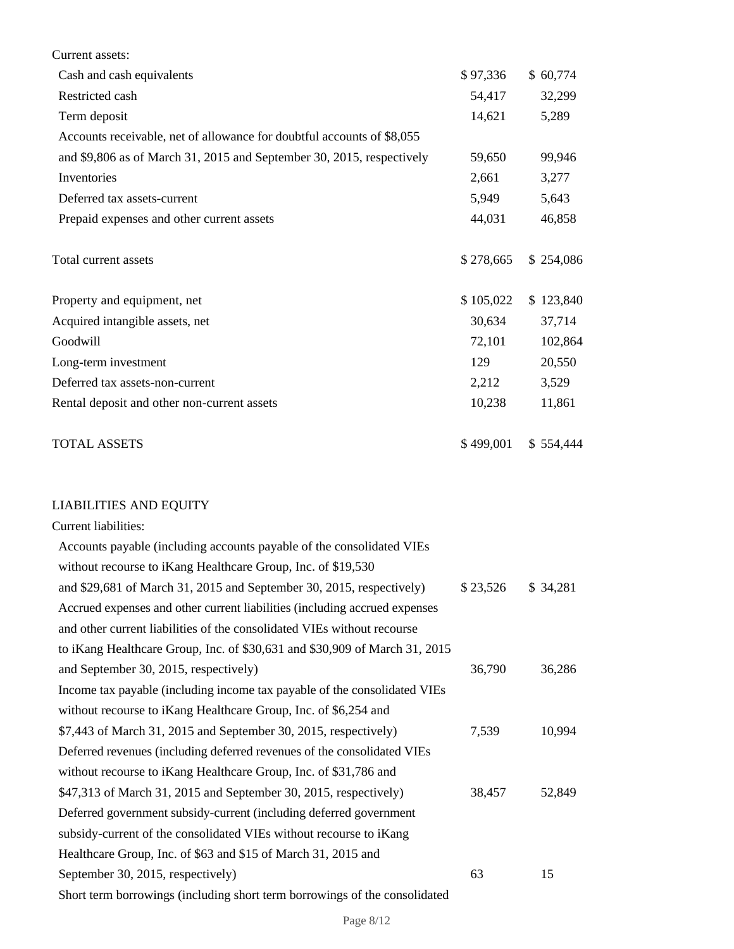| Current assets:                                                            |           |           |
|----------------------------------------------------------------------------|-----------|-----------|
| Cash and cash equivalents                                                  | \$97,336  | \$60,774  |
| Restricted cash                                                            | 54,417    | 32,299    |
| Term deposit                                                               | 14,621    | 5,289     |
| Accounts receivable, net of allowance for doubtful accounts of \$8,055     |           |           |
| and \$9,806 as of March 31, 2015 and September 30, 2015, respectively      | 59,650    | 99,946    |
| Inventories                                                                | 2,661     | 3,277     |
| Deferred tax assets-current                                                | 5,949     | 5,643     |
| Prepaid expenses and other current assets                                  | 44,031    | 46,858    |
| Total current assets                                                       | \$278,665 | \$254,086 |
| Property and equipment, net                                                | \$105,022 | \$123,840 |
| Acquired intangible assets, net                                            | 30,634    | 37,714    |
| Goodwill                                                                   | 72,101    | 102,864   |
| Long-term investment                                                       | 129       | 20,550    |
| Deferred tax assets-non-current                                            | 2,212     | 3,529     |
| Rental deposit and other non-current assets                                | 10,238    | 11,861    |
| <b>TOTAL ASSETS</b>                                                        | \$499,001 | \$554,444 |
| <b>LIABILITIES AND EQUITY</b>                                              |           |           |
| Current liabilities:                                                       |           |           |
| Accounts payable (including accounts payable of the consolidated VIEs      |           |           |
| without recourse to iKang Healthcare Group, Inc. of \$19,530               |           |           |
| and \$29,681 of March 31, 2015 and September 30, 2015, respectively)       | \$23,526  | \$ 34,281 |
| Accrued expenses and other current liabilities (including accrued expenses |           |           |
| and other current liabilities of the consolidated VIEs without recourse    |           |           |
| to iKang Healthcare Group, Inc. of \$30,631 and \$30,909 of March 31, 2015 |           |           |
| and September 30, 2015, respectively)                                      | 36,790    | 36,286    |
| Income tax payable (including income tax payable of the consolidated VIEs  |           |           |
| without recourse to iKang Healthcare Group, Inc. of \$6,254 and            |           |           |
| \$7,443 of March 31, 2015 and September 30, 2015, respectively)            | 7,539     | 10,994    |
| Deferred revenues (including deferred revenues of the consolidated VIEs    |           |           |
| without recourse to iKang Healthcare Group, Inc. of \$31,786 and           |           |           |
| \$47,313 of March 31, 2015 and September 30, 2015, respectively)           | 38,457    | 52,849    |
| Deferred government subsidy-current (including deferred government         |           |           |
| subsidy-current of the consolidated VIEs without recourse to iKang         |           |           |
| Healthcare Group, Inc. of \$63 and \$15 of March 31, 2015 and              |           |           |
| September 30, 2015, respectively)                                          | 63        | 15        |

Short term borrowings (including short term borrowings of the consolidated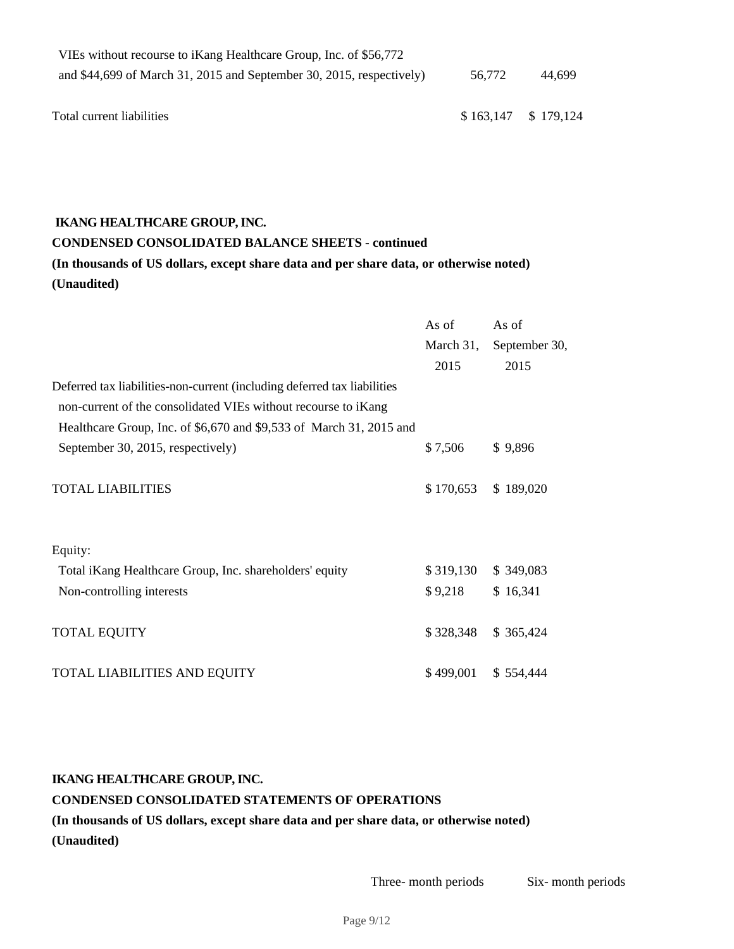| VIEs without recourse to iKang Healthcare Group, Inc. of \$56,772     |                     |        |
|-----------------------------------------------------------------------|---------------------|--------|
| and $$44,699$ of March 31, 2015 and September 30, 2015, respectively) | 56,772              | 44.699 |
|                                                                       |                     |        |
| Total current liabilities                                             | \$163,147 \$179,124 |        |

#### **IKANG HEALTHCARE GROUP, INC.**

# **CONDENSED CONSOLIDATED BALANCE SHEETS - continued (In thousands of US dollars, except share data and per share data, or otherwise noted)**

**(Unaudited)**

|                                                                          | As of     | As of         |
|--------------------------------------------------------------------------|-----------|---------------|
|                                                                          | March 31, | September 30, |
|                                                                          | 2015      | 2015          |
| Deferred tax liabilities-non-current (including deferred tax liabilities |           |               |
| non-current of the consolidated VIEs without recourse to iKang           |           |               |
| Healthcare Group, Inc. of \$6,670 and \$9,533 of March 31, 2015 and      |           |               |
| September 30, 2015, respectively)                                        | \$7,506   | \$9,896       |
| <b>TOTAL LIABILITIES</b>                                                 | \$170,653 | \$189,020     |
|                                                                          |           |               |
| Equity:                                                                  |           |               |
| Total iKang Healthcare Group, Inc. shareholders' equity                  | \$319,130 | \$349,083     |
| Non-controlling interests                                                | \$9,218   | \$16,341      |
| <b>TOTAL EQUITY</b>                                                      | \$328,348 | \$ 365,424    |
| TOTAL LIABILITIES AND EQUITY                                             | \$499,001 | \$554,444     |

# **IKANG HEALTHCARE GROUP, INC. CONDENSED CONSOLIDATED STATEMENTS OF OPERATIONS (In thousands of US dollars, except share data and per share data, or otherwise noted) (Unaudited)**

Three- month periods Six- month periods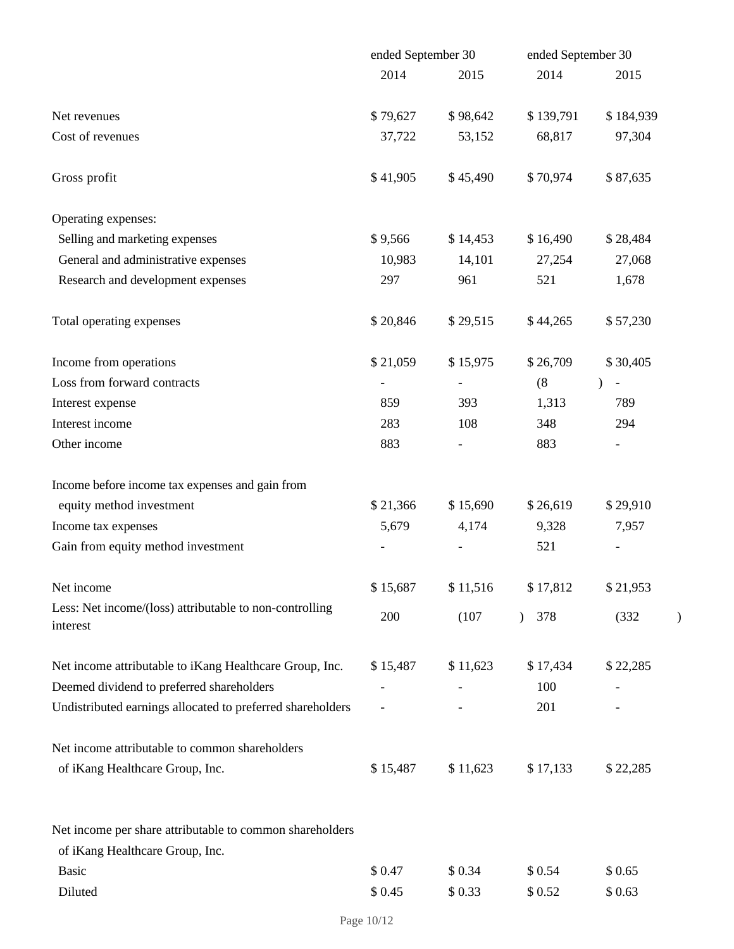|                                                                     | ended September 30 |          | ended September 30 |                                    |  |  |
|---------------------------------------------------------------------|--------------------|----------|--------------------|------------------------------------|--|--|
|                                                                     | 2014               | 2015     | 2014               | 2015                               |  |  |
| Net revenues                                                        | \$79,627           | \$98,642 | \$139,791          | \$184,939                          |  |  |
| Cost of revenues                                                    | 37,722             | 53,152   | 68,817             | 97,304                             |  |  |
| Gross profit                                                        | \$41,905           | \$45,490 | \$70,974           | \$87,635                           |  |  |
| Operating expenses:                                                 |                    |          |                    |                                    |  |  |
| Selling and marketing expenses                                      | \$9,566            | \$14,453 | \$16,490           | \$28,484                           |  |  |
| General and administrative expenses                                 | 10,983             | 14,101   | 27,254             | 27,068                             |  |  |
| Research and development expenses                                   | 297                | 961      | 521                | 1,678                              |  |  |
| Total operating expenses                                            | \$20,846           | \$29,515 | \$44,265           | \$57,230                           |  |  |
| Income from operations                                              | \$21,059           | \$15,975 | \$26,709           | \$30,405                           |  |  |
| Loss from forward contracts                                         |                    |          | (8)                | $\mathcal{E}$<br>$\qquad \qquad -$ |  |  |
| Interest expense                                                    | 859                | 393      | 1,313              | 789                                |  |  |
| Interest income                                                     | 283                | 108      | 348                | 294                                |  |  |
| Other income                                                        | 883                |          | 883                |                                    |  |  |
| Income before income tax expenses and gain from                     |                    |          |                    |                                    |  |  |
| equity method investment                                            | \$21,366           | \$15,690 | \$26,619           | \$29,910                           |  |  |
| Income tax expenses                                                 | 5,679              | 4,174    | 9,328              | 7,957                              |  |  |
| Gain from equity method investment                                  |                    |          | 521                | $\qquad \qquad -$                  |  |  |
| Net income                                                          | \$15,687           | \$11,516 | \$17,812           | \$21,953                           |  |  |
| Less: Net income/(loss) attributable to non-controlling<br>interest | 200                | (107)    | 378                | (332)                              |  |  |
| Net income attributable to iKang Healthcare Group, Inc.             | \$15,487           | \$11,623 | \$17,434           | \$22,285                           |  |  |
| Deemed dividend to preferred shareholders                           |                    |          | 100                |                                    |  |  |
| Undistributed earnings allocated to preferred shareholders          |                    |          | 201                |                                    |  |  |
| Net income attributable to common shareholders                      |                    |          |                    |                                    |  |  |
| of iKang Healthcare Group, Inc.                                     | \$15,487           | \$11,623 | \$17,133           | \$22,285                           |  |  |
| Net income per share attributable to common shareholders            |                    |          |                    |                                    |  |  |
| of iKang Healthcare Group, Inc.                                     |                    |          |                    |                                    |  |  |
| <b>Basic</b>                                                        | \$0.47             | \$0.34   | \$0.54             | \$0.65                             |  |  |
| Diluted                                                             | \$0.45             | \$0.33   | \$0.52             | \$0.63                             |  |  |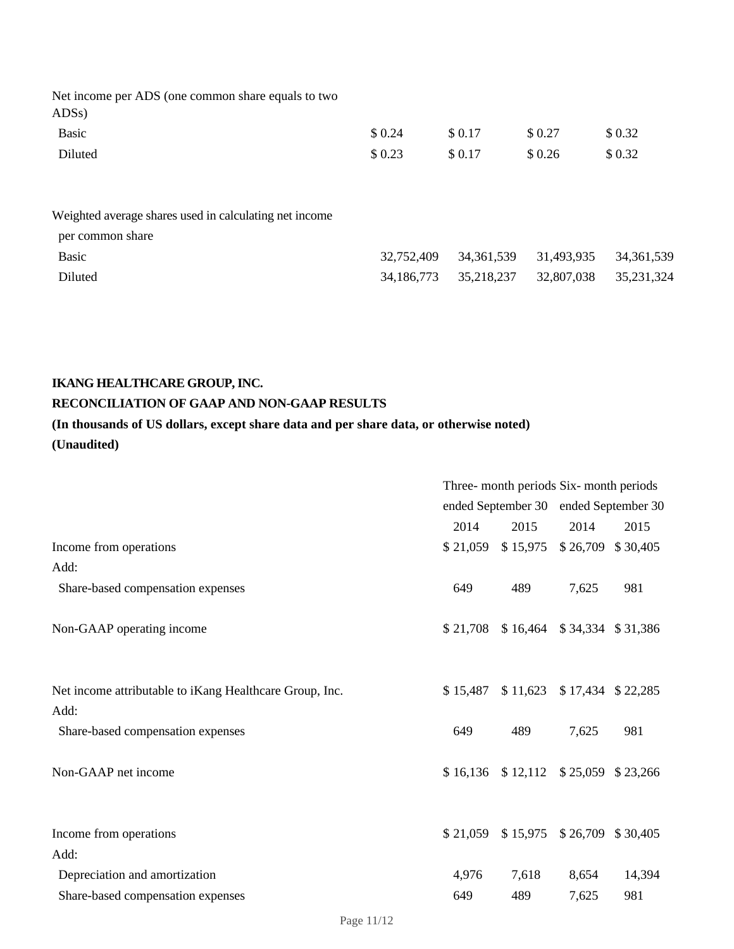| Net income per ADS (one common share equals to two<br>ADS <sub>s</sub> ) |        |         |        |        |
|--------------------------------------------------------------------------|--------|---------|--------|--------|
| Basic                                                                    | \$0.24 | \$ 0.17 | \$0.27 | \$0.32 |
| Diluted                                                                  | \$0.23 | \$0.17  | \$0.26 | \$0.32 |
|                                                                          |        |         |        |        |
|                                                                          |        |         |        |        |
| Weighted average shares used in calculating net income                   |        |         |        |        |

| per common share |  |                                                   |  |
|------------------|--|---------------------------------------------------|--|
| Basic            |  | 32,752,409 34,361,539 31,493,935 34,361,539       |  |
| Diluted          |  | 34,186,773   35,218,237   32,807,038   35,231,324 |  |

# **IKANG HEALTHCARE GROUP, INC.**

# **RECONCILIATION OF GAAP AND NON-GAAP RESULTS**

# **(In thousands of US dollars, except share data and per share data, or otherwise noted) (Unaudited)**

|                                                                 | Three- month periods Six- month periods |                                         |                     |                   |
|-----------------------------------------------------------------|-----------------------------------------|-----------------------------------------|---------------------|-------------------|
|                                                                 |                                         | ended September 30 ended September 30   |                     |                   |
|                                                                 | 2014                                    | 2015                                    | 2014                | 2015              |
| Income from operations                                          | \$21,059                                | \$15,975                                | \$26,709            | \$30,405          |
| Add:                                                            |                                         |                                         |                     |                   |
| Share-based compensation expenses                               | 649                                     | 489                                     | 7,625               | 981               |
| Non-GAAP operating income                                       | \$21,708                                |                                         | $$16,464$ $$34,334$ | \$31,386          |
| Net income attributable to iKang Healthcare Group, Inc.<br>Add: | \$15,487                                | \$11,623                                |                     | \$17,434 \$22,285 |
| Share-based compensation expenses                               | 649                                     | 489                                     | 7,625               | 981               |
| Non-GAAP net income                                             |                                         | $$16,136$ $$12,112$ $$25,059$ $$23,266$ |                     |                   |
| Income from operations                                          | \$21,059                                | \$15,975                                | \$26,709            | \$30,405          |
| Add:                                                            |                                         |                                         |                     |                   |
| Depreciation and amortization                                   | 4,976                                   | 7,618                                   | 8,654               | 14,394            |
| Share-based compensation expenses                               | 649                                     | 489                                     | 7,625               | 981               |